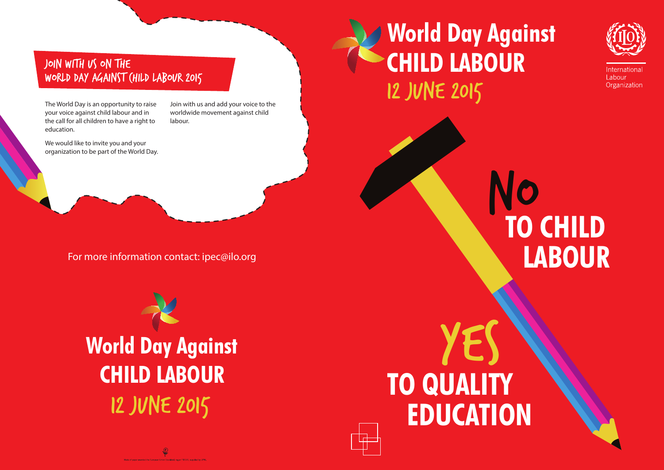**TO QUALITY EDUCATION** YES



International Labour Organization





# **TO CHILD LABOUR** No

# JOIN WITH US ON THE World Day Against Child Labour 2015

For more information contact: ipec@ilo.org

The World Day is an opportunity to raise your voice against child labour and in the call for all children to have a right to education.

We would like to invite you and your organization to be part of the World Day. Join with us and add your voice to the worldwide movement against child labour.